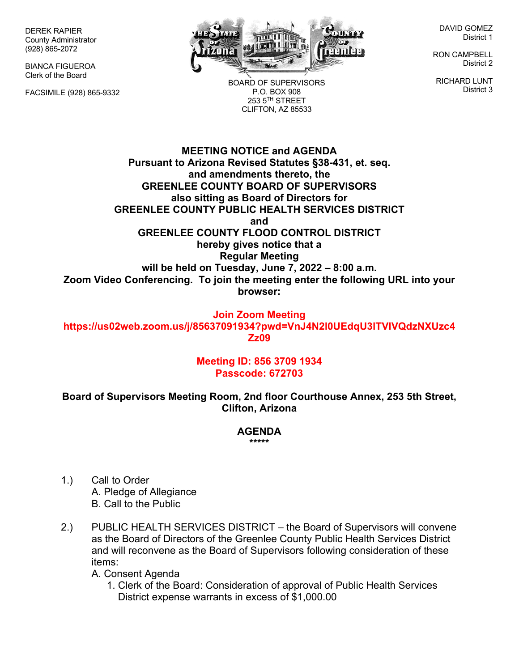DEREK RAPIER County Administrator (928) 865-2072

BIANCA FIGUEROA Clerk of the Board

FACSIMILE (928) 865-9332



BOARD OF SUPERVISORS P.O. BOX 908 253 5TH STREET CLIFTON, AZ 85533

DAVID GOMEZ District 1

RON CAMPBELL District 2

RICHARD LUNT District 3

**MEETING NOTICE and AGENDA Pursuant to Arizona Revised Statutes §38-431, et. seq. and amendments thereto, the GREENLEE COUNTY BOARD OF SUPERVISORS also sitting as Board of Directors for GREENLEE COUNTY PUBLIC HEALTH SERVICES DISTRICT and GREENLEE COUNTY FLOOD CONTROL DISTRICT hereby gives notice that a Regular Meeting will be held on Tuesday, June 7, 2022 – 8:00 a.m. Zoom Video Conferencing. To join the meeting enter the following URL into your browser:**

**Join Zoom Meeting https://us02web.zoom.us/j/85637091934?pwd=VnJ4N2l0UEdqU3lTVlVQdzNXUzc4 Zz09**

## **Meeting ID: 856 3709 1934 Passcode: 672703**

**Board of Supervisors Meeting Room, 2nd floor Courthouse Annex, 253 5th Street, Clifton, Arizona**

## **AGENDA**

**\*\*\*\*\***

- 1.) Call to Order A. Pledge of Allegiance B. Call to the Public
- 2.) PUBLIC HEALTH SERVICES DISTRICT the Board of Supervisors will convene as the Board of Directors of the Greenlee County Public Health Services District and will reconvene as the Board of Supervisors following consideration of these items:

A. Consent Agenda

1. Clerk of the Board: Consideration of approval of Public Health Services District expense warrants in excess of \$1,000.00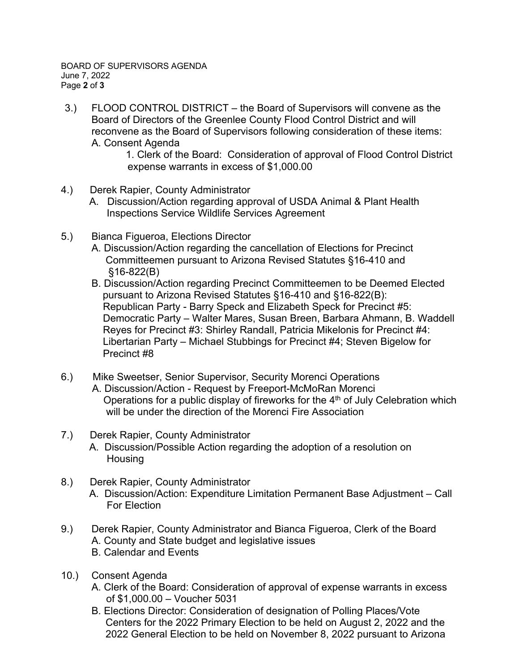3.) FLOOD CONTROL DISTRICT – the Board of Supervisors will convene as the Board of Directors of the Greenlee County Flood Control District and will reconvene as the Board of Supervisors following consideration of these items: A. Consent Agenda

1. Clerk of the Board: Consideration of approval of Flood Control District expense warrants in excess of \$1,000.00

- 4.) Derek Rapier, County Administrator
	- A. Discussion/Action regarding approval of USDA Animal & Plant Health Inspections Service Wildlife Services Agreement
- 5.) Bianca Figueroa, Elections Director
	- A. Discussion/Action regarding the cancellation of Elections for Precinct Committeemen pursuant to Arizona Revised Statutes §16-410 and §16-822(B)
	- B. Discussion/Action regarding Precinct Committeemen to be Deemed Elected pursuant to Arizona Revised Statutes §16-410 and §16-822(B): Republican Party - Barry Speck and Elizabeth Speck for Precinct #5: Democratic Party – Walter Mares, Susan Breen, Barbara Ahmann, B. Waddell Reyes for Precinct #3: Shirley Randall, Patricia Mikelonis for Precinct #4: Libertarian Party – Michael Stubbings for Precinct #4; Steven Bigelow for Precinct #8
- 6.) Mike Sweetser, Senior Supervisor, Security Morenci Operations A. Discussion/Action - Request by Freeport-McMoRan Morenci Operations for a public display of fireworks for the  $4<sup>th</sup>$  of July Celebration which will be under the direction of the Morenci Fire Association

## 7.) Derek Rapier, County Administrator

- A. Discussion/Possible Action regarding the adoption of a resolution on Housing
- 8.) Derek Rapier, County Administrator A. Discussion/Action: Expenditure Limitation Permanent Base Adjustment – Call For Election
- 9.) Derek Rapier, County Administrator and Bianca Figueroa, Clerk of the Board A. County and State budget and legislative issues B. Calendar and Events
- 10.) Consent Agenda
	- A. Clerk of the Board: Consideration of approval of expense warrants in excess of \$1,000.00 – Voucher 5031
	- B. Elections Director: Consideration of designation of Polling Places/Vote Centers for the 2022 Primary Election to be held on August 2, 2022 and the 2022 General Election to be held on November 8, 2022 pursuant to Arizona